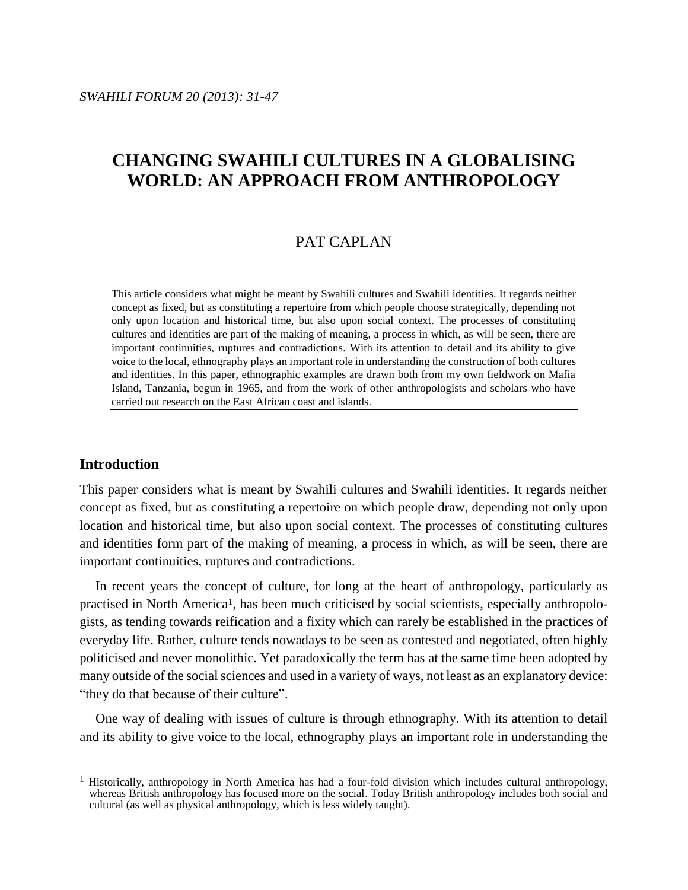# **CHANGING SWAHILI CULTURES IN A GLOBALISING WORLD: AN APPROACH FROM ANTHROPOLOGY**

# PAT CAPLAN

This article considers what might be meant by Swahili cultures and Swahili identities. It regards neither concept as fixed, but as constituting a repertoire from which people choose strategically, depending not only upon location and historical time, but also upon social context. The processes of constituting cultures and identities are part of the making of meaning, a process in which, as will be seen, there are important continuities, ruptures and contradictions. With its attention to detail and its ability to give voice to the local, ethnography plays an important role in understanding the construction of both cultures and identities. In this paper, ethnographic examples are drawn both from my own fieldwork on Mafia Island, Tanzania, begun in 1965, and from the work of other anthropologists and scholars who have carried out research on the East African coast and islands.

# **Introduction**

 $\overline{a}$ 

This paper considers what is meant by Swahili cultures and Swahili identities. It regards neither concept as fixed, but as constituting a repertoire on which people draw, depending not only upon location and historical time, but also upon social context. The processes of constituting cultures and identities form part of the making of meaning, a process in which, as will be seen, there are important continuities, ruptures and contradictions.

In recent years the concept of culture, for long at the heart of anthropology, particularly as practised in North America<sup>1</sup>, has been much criticised by social scientists, especially anthropologists, as tending towards reification and a fixity which can rarely be established in the practices of everyday life. Rather, culture tends nowadays to be seen as contested and negotiated, often highly politicised and never monolithic. Yet paradoxically the term has at the same time been adopted by many outside of the social sciences and used in a variety of ways, not least as an explanatory device: "they do that because of their culture".

One way of dealing with issues of culture is through ethnography. With its attention to detail and its ability to give voice to the local, ethnography plays an important role in understanding the

<sup>&</sup>lt;sup>1</sup> Historically, anthropology in North America has had a four-fold division which includes cultural anthropology, whereas British anthropology has focused more on the social. Today British anthropology includes both social and cultural (as well as physical anthropology, which is less widely taught).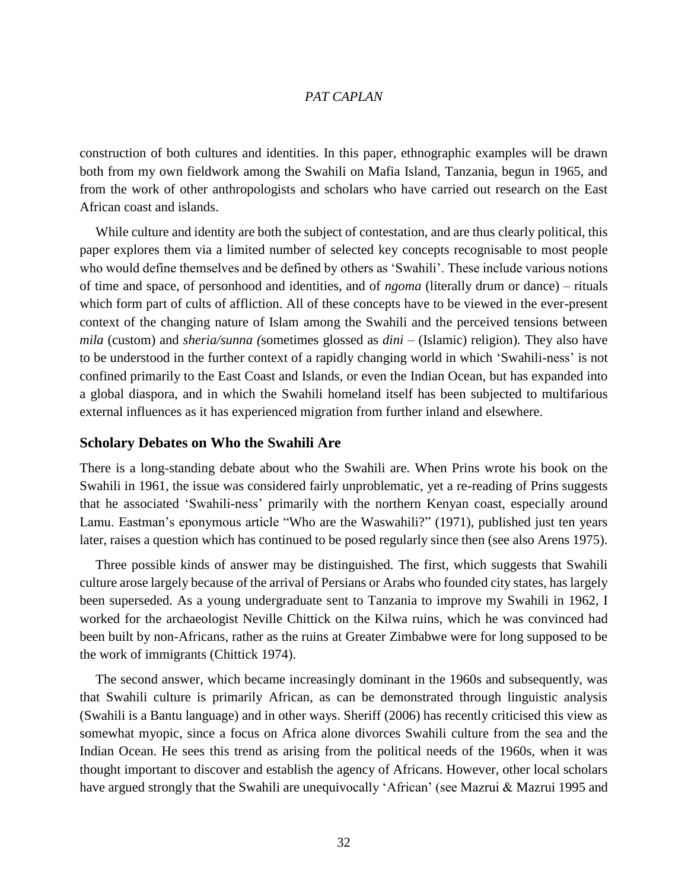construction of both cultures and identities. In this paper, ethnographic examples will be drawn both from my own fieldwork among the Swahili on Mafia Island, Tanzania, begun in 1965, and from the work of other anthropologists and scholars who have carried out research on the East African coast and islands.

While culture and identity are both the subject of contestation, and are thus clearly political, this paper explores them via a limited number of selected key concepts recognisable to most people who would define themselves and be defined by others as 'Swahili'. These include various notions of time and space, of personhood and identities, and of *ngoma* (literally drum or dance) – rituals which form part of cults of affliction. All of these concepts have to be viewed in the ever-present context of the changing nature of Islam among the Swahili and the perceived tensions between *mila* (custom) and *sheria/sunna (*sometimes glossed as *dini* – (Islamic) religion)*.* They also have to be understood in the further context of a rapidly changing world in which 'Swahili-ness' is not confined primarily to the East Coast and Islands, or even the Indian Ocean, but has expanded into a global diaspora, and in which the Swahili homeland itself has been subjected to multifarious external influences as it has experienced migration from further inland and elsewhere.

#### **Scholary Debates on Who the Swahili Are**

There is a long-standing debate about who the Swahili are. When Prins wrote his book on the Swahili in 1961, the issue was considered fairly unproblematic, yet a re-reading of Prins suggests that he associated 'Swahili-ness' primarily with the northern Kenyan coast, especially around Lamu. Eastman's eponymous article "Who are the Waswahili?" (1971), published just ten years later, raises a question which has continued to be posed regularly since then (see also Arens 1975).

Three possible kinds of answer may be distinguished. The first, which suggests that Swahili culture arose largely because of the arrival of Persians or Arabs who founded city states, has largely been superseded. As a young undergraduate sent to Tanzania to improve my Swahili in 1962, I worked for the archaeologist Neville Chittick on the Kilwa ruins, which he was convinced had been built by non-Africans, rather as the ruins at Greater Zimbabwe were for long supposed to be the work of immigrants (Chittick 1974).

The second answer, which became increasingly dominant in the 1960s and subsequently, was that Swahili culture is primarily African, as can be demonstrated through linguistic analysis (Swahili is a Bantu language) and in other ways. Sheriff (2006) has recently criticised this view as somewhat myopic, since a focus on Africa alone divorces Swahili culture from the sea and the Indian Ocean. He sees this trend as arising from the political needs of the 1960s, when it was thought important to discover and establish the agency of Africans. However, other local scholars have argued strongly that the Swahili are unequivocally 'African' (see Mazrui & Mazrui 1995 and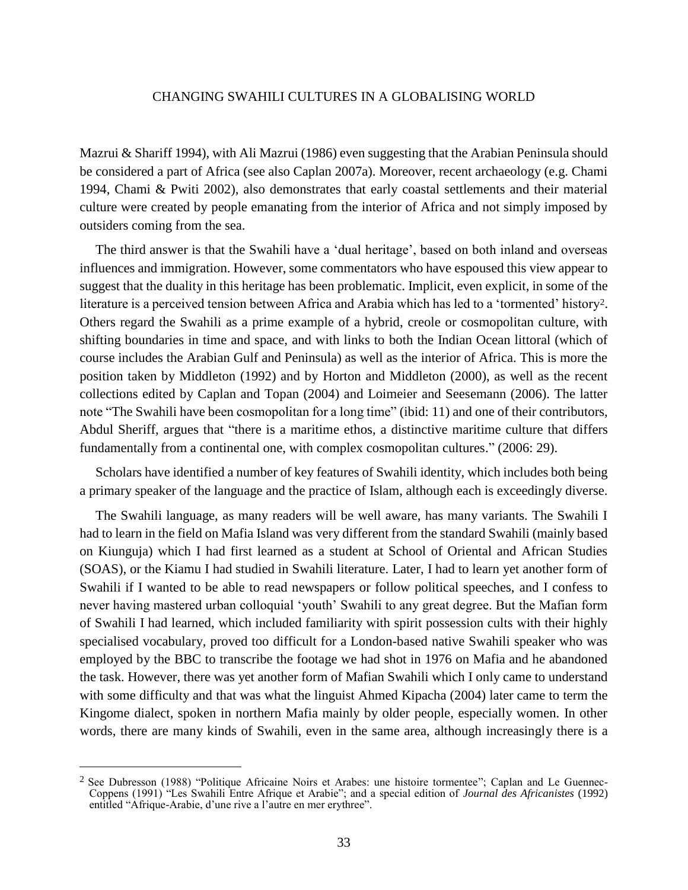Mazrui & Shariff 1994), with Ali Mazrui (1986) even suggesting that the Arabian Peninsula should be considered a part of Africa (see also Caplan 2007a). Moreover, recent archaeology (e.g. Chami 1994, Chami & Pwiti 2002), also demonstrates that early coastal settlements and their material culture were created by people emanating from the interior of Africa and not simply imposed by outsiders coming from the sea.

The third answer is that the Swahili have a 'dual heritage', based on both inland and overseas influences and immigration. However, some commentators who have espoused this view appear to suggest that the duality in this heritage has been problematic. Implicit, even explicit, in some of the literature is a perceived tension between Africa and Arabia which has led to a 'tormented' history2. Others regard the Swahili as a prime example of a hybrid, creole or cosmopolitan culture, with shifting boundaries in time and space, and with links to both the Indian Ocean littoral (which of course includes the Arabian Gulf and Peninsula) as well as the interior of Africa. This is more the position taken by Middleton (1992) and by Horton and Middleton (2000), as well as the recent collections edited by Caplan and Topan (2004) and Loimeier and Seesemann (2006). The latter note "The Swahili have been cosmopolitan for a long time" (ibid: 11) and one of their contributors, Abdul Sheriff, argues that "there is a maritime ethos, a distinctive maritime culture that differs fundamentally from a continental one, with complex cosmopolitan cultures." (2006: 29).

Scholars have identified a number of key features of Swahili identity, which includes both being a primary speaker of the language and the practice of Islam, although each is exceedingly diverse.

The Swahili language, as many readers will be well aware, has many variants. The Swahili I had to learn in the field on Mafia Island was very different from the standard Swahili (mainly based on Kiunguja) which I had first learned as a student at School of Oriental and African Studies (SOAS), or the Kiamu I had studied in Swahili literature. Later, I had to learn yet another form of Swahili if I wanted to be able to read newspapers or follow political speeches, and I confess to never having mastered urban colloquial 'youth' Swahili to any great degree. But the Mafian form of Swahili I had learned, which included familiarity with spirit possession cults with their highly specialised vocabulary, proved too difficult for a London-based native Swahili speaker who was employed by the BBC to transcribe the footage we had shot in 1976 on Mafia and he abandoned the task. However, there was yet another form of Mafian Swahili which I only came to understand with some difficulty and that was what the linguist Ahmed Kipacha (2004) later came to term the Kingome dialect, spoken in northern Mafia mainly by older people, especially women. In other words, there are many kinds of Swahili, even in the same area, although increasingly there is a

<sup>2</sup> See Dubresson (1988) "Politique Africaine Noirs et Arabes: une histoire tormentee"; Caplan and Le Guennec-Coppens (1991) "Les Swahili Entre Afrique et Arabie"; and a special edition of *Journal des Africanistes* (1992) entitled "Afrique-Arabie, d'une rive a l'autre en mer erythree".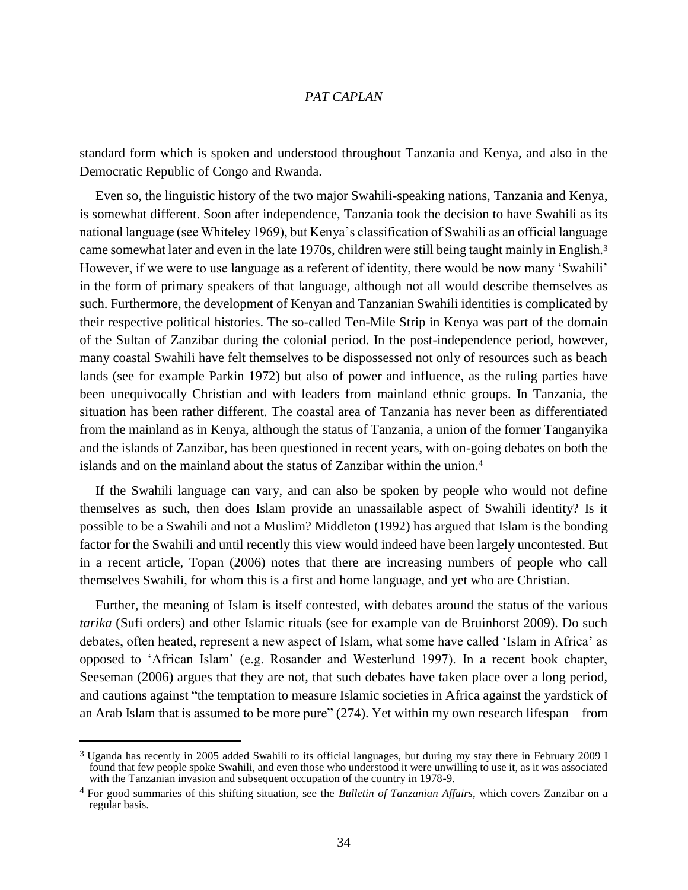standard form which is spoken and understood throughout Tanzania and Kenya, and also in the Democratic Republic of Congo and Rwanda.

Even so, the linguistic history of the two major Swahili-speaking nations, Tanzania and Kenya, is somewhat different. Soon after independence, Tanzania took the decision to have Swahili as its national language (see Whiteley 1969), but Kenya's classification of Swahili as an official language came somewhat later and even in the late 1970s, children were still being taught mainly in English.<sup>3</sup> However, if we were to use language as a referent of identity, there would be now many 'Swahili' in the form of primary speakers of that language, although not all would describe themselves as such. Furthermore, the development of Kenyan and Tanzanian Swahili identities is complicated by their respective political histories. The so-called Ten-Mile Strip in Kenya was part of the domain of the Sultan of Zanzibar during the colonial period. In the post-independence period, however, many coastal Swahili have felt themselves to be dispossessed not only of resources such as beach lands (see for example Parkin 1972) but also of power and influence, as the ruling parties have been unequivocally Christian and with leaders from mainland ethnic groups. In Tanzania, the situation has been rather different. The coastal area of Tanzania has never been as differentiated from the mainland as in Kenya, although the status of Tanzania, a union of the former Tanganyika and the islands of Zanzibar, has been questioned in recent years, with on-going debates on both the islands and on the mainland about the status of Zanzibar within the union.<sup>4</sup>

If the Swahili language can vary, and can also be spoken by people who would not define themselves as such, then does Islam provide an unassailable aspect of Swahili identity? Is it possible to be a Swahili and not a Muslim? Middleton (1992) has argued that Islam is the bonding factor for the Swahili and until recently this view would indeed have been largely uncontested. But in a recent article, Topan (2006) notes that there are increasing numbers of people who call themselves Swahili, for whom this is a first and home language, and yet who are Christian.

Further, the meaning of Islam is itself contested, with debates around the status of the various *tarika* (Sufi orders) and other Islamic rituals (see for example van de Bruinhorst 2009). Do such debates, often heated, represent a new aspect of Islam, what some have called 'Islam in Africa' as opposed to 'African Islam' (e.g. Rosander and Westerlund 1997). In a recent book chapter, Seeseman (2006) argues that they are not, that such debates have taken place over a long period, and cautions against "the temptation to measure Islamic societies in Africa against the yardstick of an Arab Islam that is assumed to be more pure" (274). Yet within my own research lifespan – from

<sup>3</sup> Uganda has recently in 2005 added Swahili to its official languages, but during my stay there in February 2009 I found that few people spoke Swahili, and even those who understood it were unwilling to use it, as it was associated with the Tanzanian invasion and subsequent occupation of the country in 1978-9.

<sup>4</sup> For good summaries of this shifting situation, see the *Bulletin of Tanzanian Affairs*, which covers Zanzibar on a regular basis.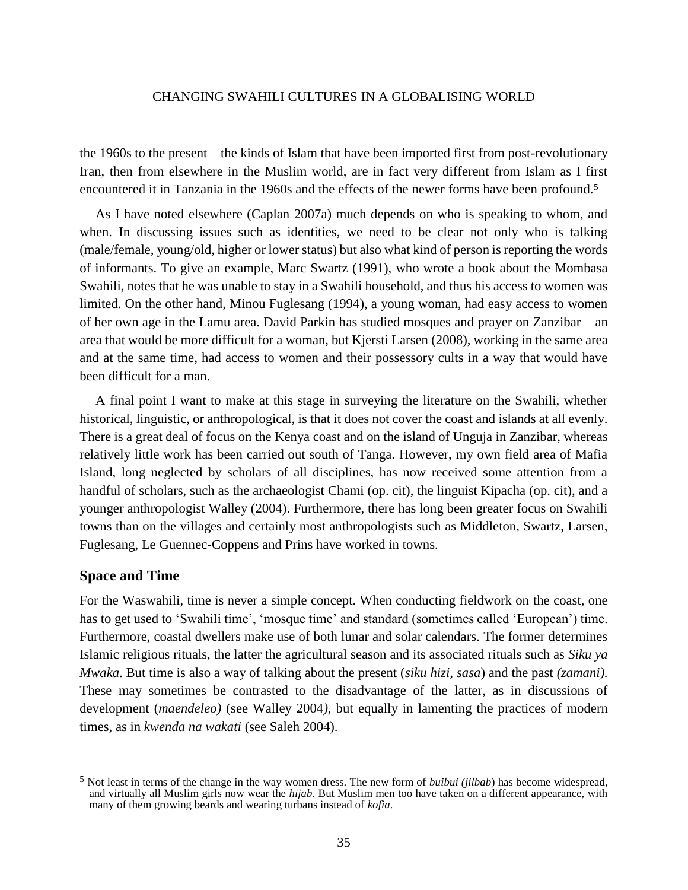the 1960s to the present – the kinds of Islam that have been imported first from post-revolutionary Iran, then from elsewhere in the Muslim world, are in fact very different from Islam as I first encountered it in Tanzania in the 1960s and the effects of the newer forms have been profound.<sup>5</sup>

As I have noted elsewhere (Caplan 2007a) much depends on who is speaking to whom, and when. In discussing issues such as identities, we need to be clear not only who is talking (male/female, young/old, higher or lower status) but also what kind of person is reporting the words of informants. To give an example, Marc Swartz (1991), who wrote a book about the Mombasa Swahili, notes that he was unable to stay in a Swahili household, and thus his access to women was limited. On the other hand, Minou Fuglesang (1994), a young woman, had easy access to women of her own age in the Lamu area. David Parkin has studied mosques and prayer on Zanzibar – an area that would be more difficult for a woman, but Kjersti Larsen (2008), working in the same area and at the same time, had access to women and their possessory cults in a way that would have been difficult for a man.

A final point I want to make at this stage in surveying the literature on the Swahili, whether historical, linguistic, or anthropological, is that it does not cover the coast and islands at all evenly. There is a great deal of focus on the Kenya coast and on the island of Unguja in Zanzibar, whereas relatively little work has been carried out south of Tanga. However, my own field area of Mafia Island, long neglected by scholars of all disciplines, has now received some attention from a handful of scholars, such as the archaeologist Chami (op. cit), the linguist Kipacha (op. cit), and a younger anthropologist Walley (2004). Furthermore, there has long been greater focus on Swahili towns than on the villages and certainly most anthropologists such as Middleton, Swartz, Larsen, Fuglesang, Le Guennec-Coppens and Prins have worked in towns.

# **Space and Time**

 $\overline{a}$ 

For the Waswahili, time is never a simple concept. When conducting fieldwork on the coast, one has to get used to 'Swahili time', 'mosque time' and standard (sometimes called 'European') time. Furthermore, coastal dwellers make use of both lunar and solar calendars. The former determines Islamic religious rituals, the latter the agricultural season and its associated rituals such as *Siku ya Mwaka*. But time is also a way of talking about the present (*siku hizi, sasa*) and the past *(zamani).*  These may sometimes be contrasted to the disadvantage of the latter, as in discussions of development (*maendeleo)* (see Walley 2004*),* but equally in lamenting the practices of modern times, as in *kwenda na wakati* (see Saleh 2004).

<sup>5</sup> Not least in terms of the change in the way women dress. The new form of *buibui (jilbab*) has become widespread, and virtually all Muslim girls now wear the *hijab*. But Muslim men too have taken on a different appearance, with many of them growing beards and wearing turbans instead of *kofia*.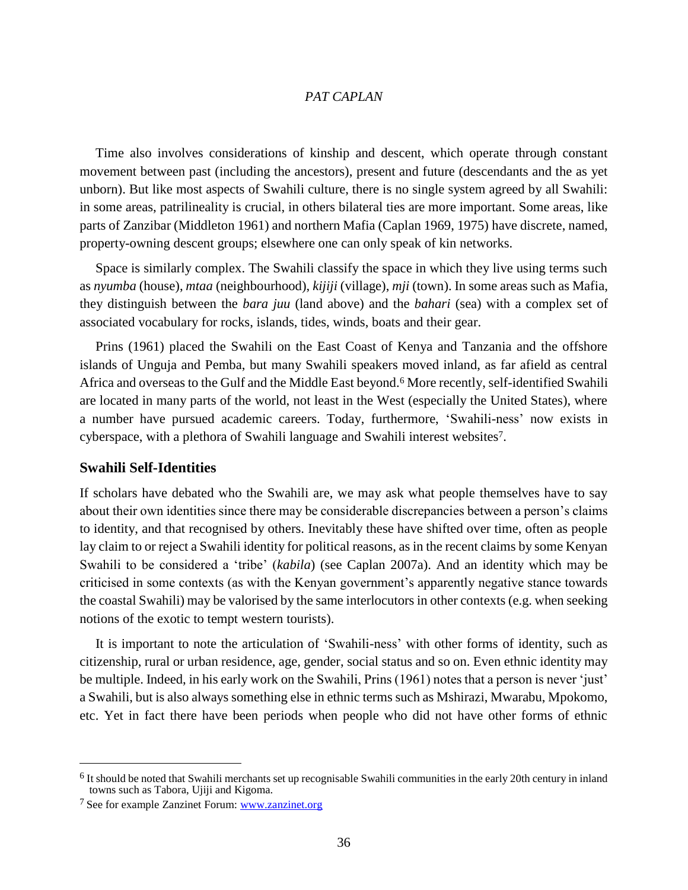Time also involves considerations of kinship and descent, which operate through constant movement between past (including the ancestors), present and future (descendants and the as yet unborn). But like most aspects of Swahili culture, there is no single system agreed by all Swahili: in some areas, patrilineality is crucial, in others bilateral ties are more important. Some areas, like parts of Zanzibar (Middleton 1961) and northern Mafia (Caplan 1969, 1975) have discrete, named, property-owning descent groups; elsewhere one can only speak of kin networks.

Space is similarly complex. The Swahili classify the space in which they live using terms such as *nyumba* (house), *mtaa* (neighbourhood), *kijiji* (village), *mji* (town). In some areas such as Mafia, they distinguish between the *bara juu* (land above) and the *bahari* (sea) with a complex set of associated vocabulary for rocks, islands, tides, winds, boats and their gear.

Prins (1961) placed the Swahili on the East Coast of Kenya and Tanzania and the offshore islands of Unguja and Pemba, but many Swahili speakers moved inland, as far afield as central Africa and overseas to the Gulf and the Middle East beyond.<sup>6</sup> More recently, self-identified Swahili are located in many parts of the world, not least in the West (especially the United States), where a number have pursued academic careers. Today, furthermore, 'Swahili-ness' now exists in cyberspace, with a plethora of Swahili language and Swahili interest websites7.

# **Swahili Self-Identities**

 $\overline{a}$ 

If scholars have debated who the Swahili are, we may ask what people themselves have to say about their own identities since there may be considerable discrepancies between a person's claims to identity, and that recognised by others. Inevitably these have shifted over time, often as people lay claim to or reject a Swahili identity for political reasons, as in the recent claims by some Kenyan Swahili to be considered a 'tribe' (*kabila*) (see Caplan 2007a). And an identity which may be criticised in some contexts (as with the Kenyan government's apparently negative stance towards the coastal Swahili) may be valorised by the same interlocutors in other contexts (e.g. when seeking notions of the exotic to tempt western tourists).

It is important to note the articulation of 'Swahili-ness' with other forms of identity, such as citizenship, rural or urban residence, age, gender, social status and so on. Even ethnic identity may be multiple. Indeed, in his early work on the Swahili, Prins (1961) notes that a person is never 'just' a Swahili, but is also always something else in ethnic terms such as Mshirazi, Mwarabu, Mpokomo, etc. Yet in fact there have been periods when people who did not have other forms of ethnic

<sup>&</sup>lt;sup>6</sup> It should be noted that Swahili merchants set up recognisable Swahili communities in the early 20th century in inland towns such as Tabora, Ujiji and Kigoma.

<sup>7</sup> See for example Zanzinet Forum: www.zanzinet.org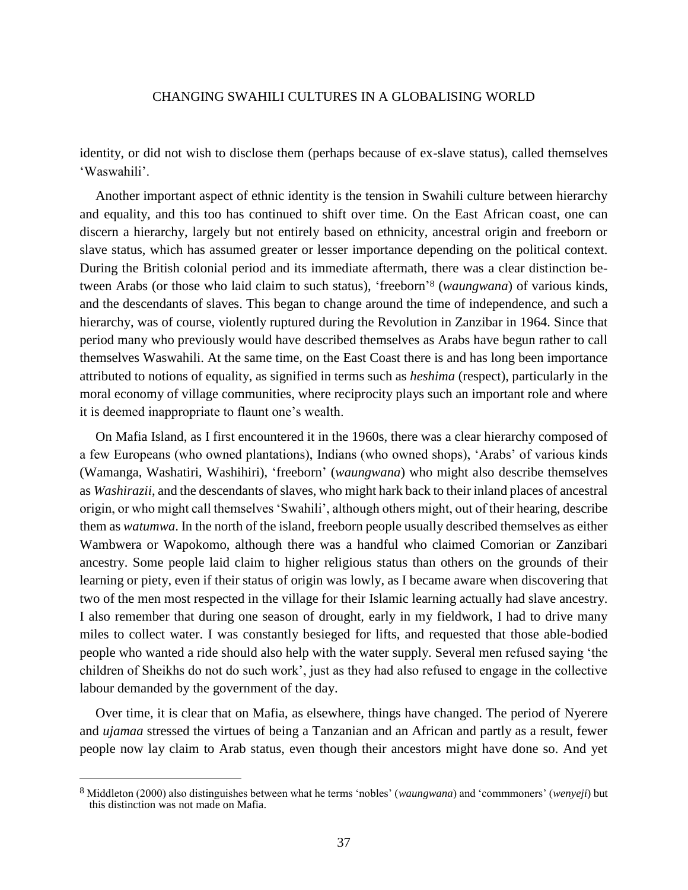identity, or did not wish to disclose them (perhaps because of ex-slave status), called themselves 'Waswahili'.

Another important aspect of ethnic identity is the tension in Swahili culture between hierarchy and equality, and this too has continued to shift over time. On the East African coast, one can discern a hierarchy, largely but not entirely based on ethnicity, ancestral origin and freeborn or slave status, which has assumed greater or lesser importance depending on the political context. During the British colonial period and its immediate aftermath, there was a clear distinction between Arabs (or those who laid claim to such status), 'freeborn' <sup>8</sup> (*waungwana*) of various kinds, and the descendants of slaves. This began to change around the time of independence, and such a hierarchy, was of course, violently ruptured during the Revolution in Zanzibar in 1964. Since that period many who previously would have described themselves as Arabs have begun rather to call themselves Waswahili. At the same time, on the East Coast there is and has long been importance attributed to notions of equality, as signified in terms such as *heshima* (respect), particularly in the moral economy of village communities, where reciprocity plays such an important role and where it is deemed inappropriate to flaunt one's wealth.

On Mafia Island, as I first encountered it in the 1960s, there was a clear hierarchy composed of a few Europeans (who owned plantations), Indians (who owned shops), 'Arabs' of various kinds (Wamanga, Washatiri, Washihiri), 'freeborn' (*waungwana*) who might also describe themselves as *Washirazii*, and the descendants of slaves, who might hark back to their inland places of ancestral origin, or who might call themselves 'Swahili', although others might, out of their hearing, describe them as *watumwa*. In the north of the island, freeborn people usually described themselves as either Wambwera or Wapokomo, although there was a handful who claimed Comorian or Zanzibari ancestry. Some people laid claim to higher religious status than others on the grounds of their learning or piety, even if their status of origin was lowly, as I became aware when discovering that two of the men most respected in the village for their Islamic learning actually had slave ancestry. I also remember that during one season of drought, early in my fieldwork, I had to drive many miles to collect water. I was constantly besieged for lifts, and requested that those able-bodied people who wanted a ride should also help with the water supply. Several men refused saying 'the children of Sheikhs do not do such work', just as they had also refused to engage in the collective labour demanded by the government of the day.

Over time, it is clear that on Mafia, as elsewhere, things have changed. The period of Nyerere and *ujamaa* stressed the virtues of being a Tanzanian and an African and partly as a result, fewer people now lay claim to Arab status, even though their ancestors might have done so. And yet

<sup>8</sup> Middleton (2000) also distinguishes between what he terms 'nobles' (*waungwana*) and 'commmoners' (*wenyeji*) but this distinction was not made on Mafia.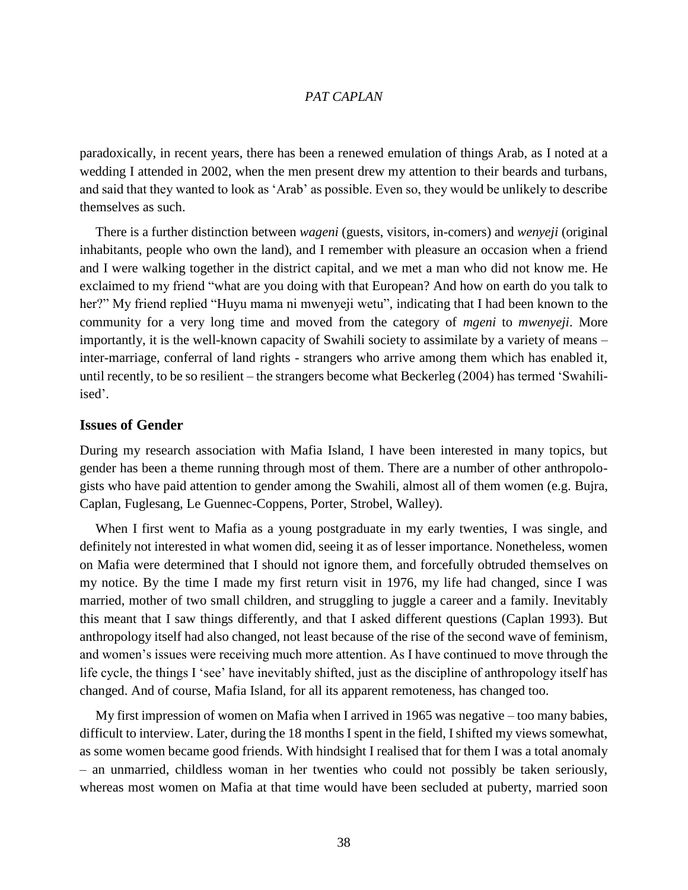paradoxically, in recent years, there has been a renewed emulation of things Arab, as I noted at a wedding I attended in 2002, when the men present drew my attention to their beards and turbans, and said that they wanted to look as 'Arab' as possible. Even so, they would be unlikely to describe themselves as such.

There is a further distinction between *wageni* (guests, visitors, in-comers) and *wenyeji* (original inhabitants, people who own the land), and I remember with pleasure an occasion when a friend and I were walking together in the district capital, and we met a man who did not know me. He exclaimed to my friend "what are you doing with that European? And how on earth do you talk to her?" My friend replied "Huyu mama ni mwenyeji wetu", indicating that I had been known to the community for a very long time and moved from the category of *mgeni* to *mwenyeji*. More importantly, it is the well-known capacity of Swahili society to assimilate by a variety of means – inter-marriage, conferral of land rights - strangers who arrive among them which has enabled it, until recently, to be so resilient – the strangers become what Beckerleg (2004) has termed 'Swahiliised'.

# **Issues of Gender**

During my research association with Mafia Island, I have been interested in many topics, but gender has been a theme running through most of them. There are a number of other anthropologists who have paid attention to gender among the Swahili, almost all of them women (e.g. Bujra, Caplan, Fuglesang, Le Guennec-Coppens, Porter, Strobel, Walley).

When I first went to Mafia as a young postgraduate in my early twenties, I was single, and definitely not interested in what women did, seeing it as of lesser importance. Nonetheless, women on Mafia were determined that I should not ignore them, and forcefully obtruded themselves on my notice. By the time I made my first return visit in 1976, my life had changed, since I was married, mother of two small children, and struggling to juggle a career and a family. Inevitably this meant that I saw things differently, and that I asked different questions (Caplan 1993). But anthropology itself had also changed, not least because of the rise of the second wave of feminism, and women's issues were receiving much more attention. As I have continued to move through the life cycle, the things I 'see' have inevitably shifted, just as the discipline of anthropology itself has changed. And of course, Mafia Island, for all its apparent remoteness, has changed too.

My first impression of women on Mafia when I arrived in 1965 was negative – too many babies, difficult to interview. Later, during the 18 months I spent in the field, I shifted my views somewhat, as some women became good friends. With hindsight I realised that for them I was a total anomaly – an unmarried, childless woman in her twenties who could not possibly be taken seriously, whereas most women on Mafia at that time would have been secluded at puberty, married soon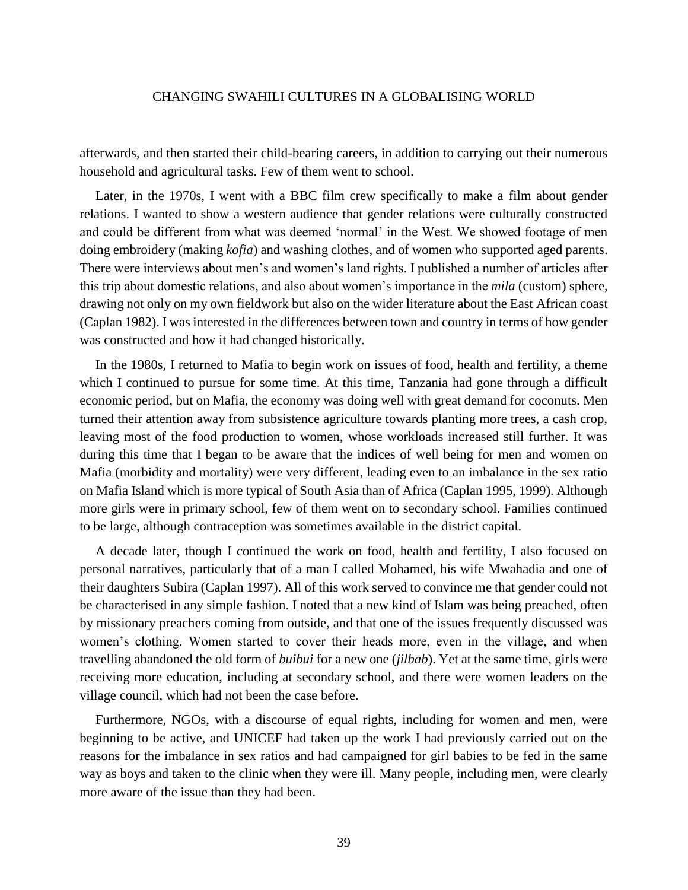afterwards, and then started their child-bearing careers, in addition to carrying out their numerous household and agricultural tasks. Few of them went to school.

Later, in the 1970s, I went with a BBC film crew specifically to make a film about gender relations. I wanted to show a western audience that gender relations were culturally constructed and could be different from what was deemed 'normal' in the West. We showed footage of men doing embroidery (making *kofia*) and washing clothes, and of women who supported aged parents. There were interviews about men's and women's land rights. I published a number of articles after this trip about domestic relations, and also about women's importance in the *mila* (custom) sphere, drawing not only on my own fieldwork but also on the wider literature about the East African coast (Caplan 1982). I was interested in the differences between town and country in terms of how gender was constructed and how it had changed historically.

In the 1980s, I returned to Mafia to begin work on issues of food, health and fertility, a theme which I continued to pursue for some time. At this time, Tanzania had gone through a difficult economic period, but on Mafia, the economy was doing well with great demand for coconuts. Men turned their attention away from subsistence agriculture towards planting more trees, a cash crop, leaving most of the food production to women, whose workloads increased still further. It was during this time that I began to be aware that the indices of well being for men and women on Mafia (morbidity and mortality) were very different, leading even to an imbalance in the sex ratio on Mafia Island which is more typical of South Asia than of Africa (Caplan 1995, 1999). Although more girls were in primary school, few of them went on to secondary school. Families continued to be large, although contraception was sometimes available in the district capital.

A decade later, though I continued the work on food, health and fertility, I also focused on personal narratives, particularly that of a man I called Mohamed, his wife Mwahadia and one of their daughters Subira (Caplan 1997). All of this work served to convince me that gender could not be characterised in any simple fashion. I noted that a new kind of Islam was being preached, often by missionary preachers coming from outside, and that one of the issues frequently discussed was women's clothing. Women started to cover their heads more, even in the village, and when travelling abandoned the old form of *buibui* for a new one (*jilbab*). Yet at the same time, girls were receiving more education, including at secondary school, and there were women leaders on the village council, which had not been the case before.

Furthermore, NGOs, with a discourse of equal rights, including for women and men, were beginning to be active, and UNICEF had taken up the work I had previously carried out on the reasons for the imbalance in sex ratios and had campaigned for girl babies to be fed in the same way as boys and taken to the clinic when they were ill. Many people, including men, were clearly more aware of the issue than they had been.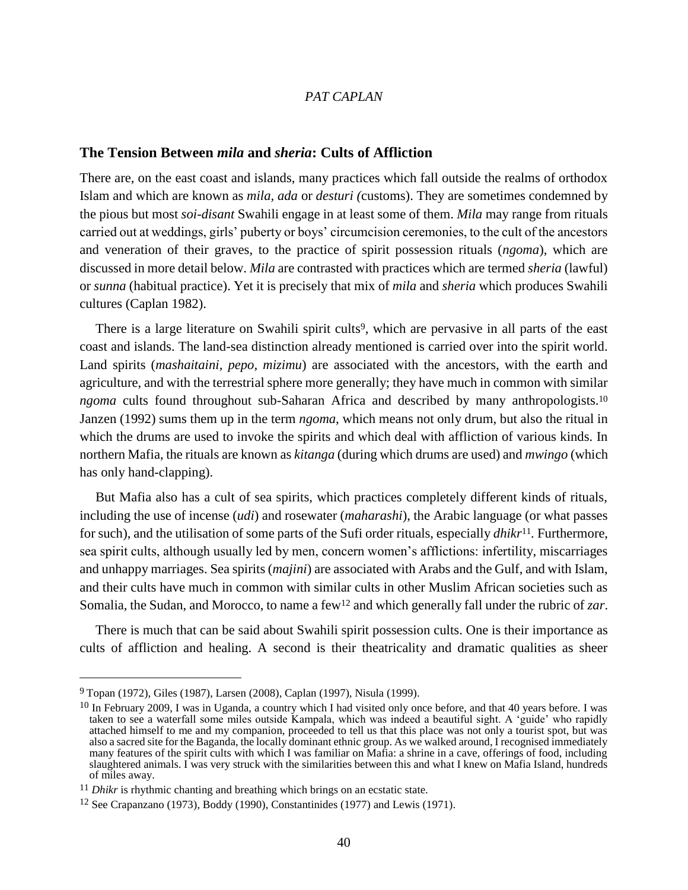# **The Tension Between** *mila* **and** *sheria***: Cults of Affliction**

There are, on the east coast and islands, many practices which fall outside the realms of orthodox Islam and which are known as *mila, ada* or *desturi (*customs). They are sometimes condemned by the pious but most *soi-disant* Swahili engage in at least some of them. *Mila* may range from rituals carried out at weddings, girls' puberty or boys' circumcision ceremonies, to the cult of the ancestors and veneration of their graves, to the practice of spirit possession rituals (*ngoma*), which are discussed in more detail below. *Mila* are contrasted with practices which are termed *sheria* (lawful) or *sunna* (habitual practice). Yet it is precisely that mix of *mila* and *sheria* which produces Swahili cultures (Caplan 1982).

There is a large literature on Swahili spirit cults<sup>9</sup>, which are pervasive in all parts of the east coast and islands. The land-sea distinction already mentioned is carried over into the spirit world. Land spirits (*mashaitaini, pepo, mizimu*) are associated with the ancestors, with the earth and agriculture, and with the terrestrial sphere more generally; they have much in common with similar *ngoma* cults found throughout sub-Saharan Africa and described by many anthropologists.<sup>10</sup> Janzen (1992) sums them up in the term *ngoma*, which means not only drum, but also the ritual in which the drums are used to invoke the spirits and which deal with affliction of various kinds. In northern Mafia, the rituals are known as *kitanga* (during which drums are used) and *mwingo* (which has only hand-clapping).

But Mafia also has a cult of sea spirits, which practices completely different kinds of rituals, including the use of incense (*udi*) and rosewater (*maharashi*), the Arabic language (or what passes for such), and the utilisation of some parts of the Sufi order rituals, especially *dhikr*11*.* Furthermore, sea spirit cults, although usually led by men, concern women's afflictions: infertility, miscarriages and unhappy marriages. Sea spirits (*majini*) are associated with Arabs and the Gulf, and with Islam, and their cults have much in common with similar cults in other Muslim African societies such as Somalia, the Sudan, and Morocco, to name a few<sup>12</sup> and which generally fall under the rubric of *zar*.

There is much that can be said about Swahili spirit possession cults. One is their importance as cults of affliction and healing. A second is their theatricality and dramatic qualities as sheer

<sup>9</sup> Topan (1972), Giles (1987), Larsen (2008), Caplan (1997), Nisula (1999).

 $10$  In February 2009, I was in Uganda, a country which I had visited only once before, and that 40 years before. I was taken to see a waterfall some miles outside Kampala, which was indeed a beautiful sight. A 'guide' who rapidly attached himself to me and my companion, proceeded to tell us that this place was not only a tourist spot, but was also a sacred site for the Baganda, the locally dominant ethnic group. As we walked around, I recognised immediately many features of the spirit cults with which I was familiar on Mafia: a shrine in a cave, offerings of food, including slaughtered animals. I was very struck with the similarities between this and what I knew on Mafia Island, hundreds of miles away.

<sup>&</sup>lt;sup>11</sup> *Dhikr* is rhythmic chanting and breathing which brings on an ecstatic state.

<sup>12</sup> See Crapanzano (1973), Boddy (1990), Constantinides (1977) and Lewis (1971).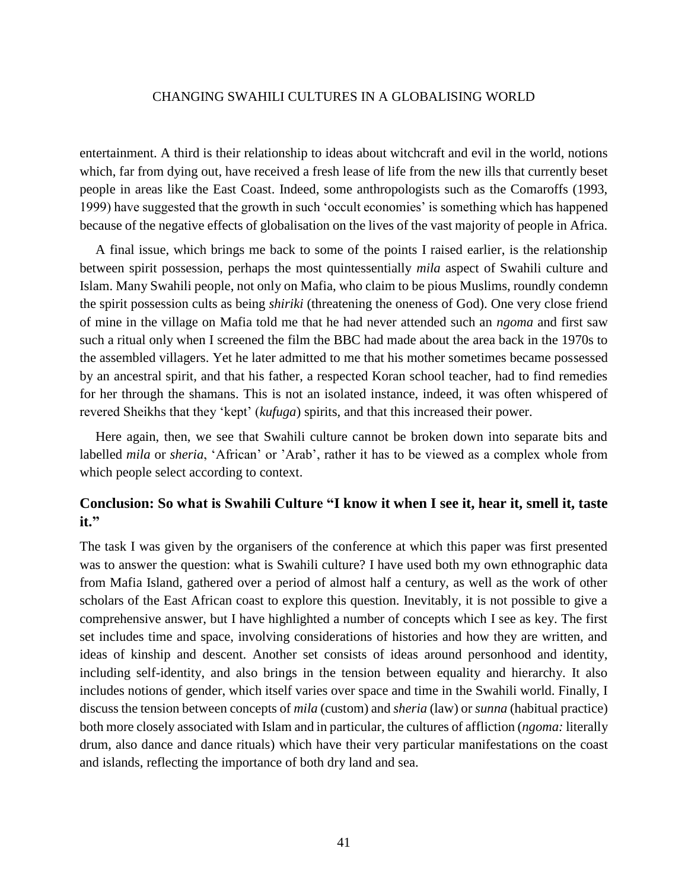entertainment. A third is their relationship to ideas about witchcraft and evil in the world, notions which, far from dying out, have received a fresh lease of life from the new ills that currently beset people in areas like the East Coast. Indeed, some anthropologists such as the Comaroffs (1993, 1999) have suggested that the growth in such 'occult economies' is something which has happened because of the negative effects of globalisation on the lives of the vast majority of people in Africa.

A final issue, which brings me back to some of the points I raised earlier, is the relationship between spirit possession, perhaps the most quintessentially *mila* aspect of Swahili culture and Islam. Many Swahili people, not only on Mafia, who claim to be pious Muslims, roundly condemn the spirit possession cults as being *shiriki* (threatening the oneness of God). One very close friend of mine in the village on Mafia told me that he had never attended such an *ngoma* and first saw such a ritual only when I screened the film the BBC had made about the area back in the 1970s to the assembled villagers. Yet he later admitted to me that his mother sometimes became possessed by an ancestral spirit, and that his father, a respected Koran school teacher, had to find remedies for her through the shamans. This is not an isolated instance, indeed, it was often whispered of revered Sheikhs that they 'kept' (*kufuga*) spirits, and that this increased their power.

Here again, then, we see that Swahili culture cannot be broken down into separate bits and labelled *mila* or *sheria*, 'African' or 'Arab', rather it has to be viewed as a complex whole from which people select according to context.

# **Conclusion: So what is Swahili Culture "I know it when I see it, hear it, smell it, taste it."**

The task I was given by the organisers of the conference at which this paper was first presented was to answer the question: what is Swahili culture? I have used both my own ethnographic data from Mafia Island, gathered over a period of almost half a century, as well as the work of other scholars of the East African coast to explore this question. Inevitably, it is not possible to give a comprehensive answer, but I have highlighted a number of concepts which I see as key. The first set includes time and space, involving considerations of histories and how they are written, and ideas of kinship and descent. Another set consists of ideas around personhood and identity, including self-identity, and also brings in the tension between equality and hierarchy. It also includes notions of gender, which itself varies over space and time in the Swahili world. Finally, I discuss the tension between concepts of *mila* (custom) and *sheria* (law) or *sunna* (habitual practice) both more closely associated with Islam and in particular, the cultures of affliction (*ngoma:* literally drum, also dance and dance rituals) which have their very particular manifestations on the coast and islands, reflecting the importance of both dry land and sea.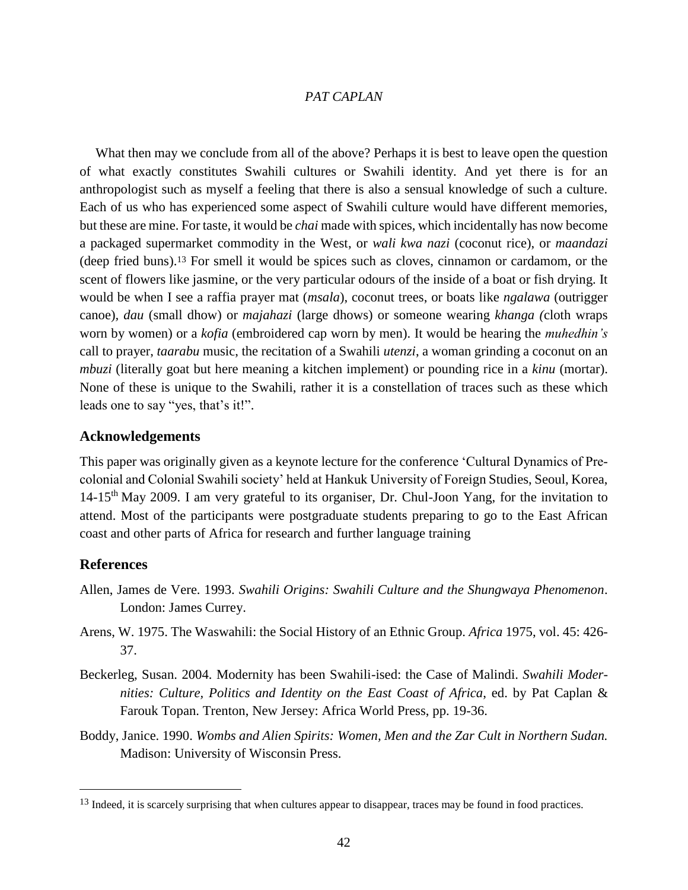What then may we conclude from all of the above? Perhaps it is best to leave open the question of what exactly constitutes Swahili cultures or Swahili identity. And yet there is for an anthropologist such as myself a feeling that there is also a sensual knowledge of such a culture. Each of us who has experienced some aspect of Swahili culture would have different memories, but these are mine. For taste, it would be *chai* made with spices, which incidentally has now become a packaged supermarket commodity in the West, or *wali kwa nazi* (coconut rice), or *maandazi* (deep fried buns). <sup>13</sup> For smell it would be spices such as cloves, cinnamon or cardamom, or the scent of flowers like jasmine, or the very particular odours of the inside of a boat or fish drying. It would be when I see a raffia prayer mat (*msala*), coconut trees, or boats like *ngalawa* (outrigger canoe)*, dau* (small dhow) or *majahazi* (large dhows) or someone wearing *khanga (*cloth wraps worn by women) or a *kofia* (embroidered cap worn by men). It would be hearing the *muhedhin's* call to prayer, *taarabu* music, the recitation of a Swahili *utenzi*, a woman grinding a coconut on an *mbuzi* (literally goat but here meaning a kitchen implement) or pounding rice in a *kinu* (mortar). None of these is unique to the Swahili, rather it is a constellation of traces such as these which leads one to say "yes, that's it!".

#### **Acknowledgements**

This paper was originally given as a keynote lecture for the conference 'Cultural Dynamics of Precolonial and Colonial Swahili society' held at Hankuk University of Foreign Studies, Seoul, Korea,  $14-15<sup>th</sup>$  May 2009. I am very grateful to its organiser, Dr. Chul-Joon Yang, for the invitation to attend. Most of the participants were postgraduate students preparing to go to the East African coast and other parts of Africa for research and further language training

#### **References**

- Allen, James de Vere. 1993. *Swahili Origins: Swahili Culture and the Shungwaya Phenomenon*. London: James Currey.
- Arens, W. 1975. The Waswahili: the Social History of an Ethnic Group. *Africa* 1975, vol. 45: 426- 37.
- Beckerleg, Susan. 2004. Modernity has been Swahili-ised: the Case of Malindi. *Swahili Modernities: Culture, Politics and Identity on the East Coast of Africa*, ed. by Pat Caplan & Farouk Topan. Trenton, New Jersey: Africa World Press, pp. 19-36.
- Boddy, Janice. 1990. *Wombs and Alien Spirits: Women, Men and the Zar Cult in Northern Sudan.*  Madison: University of Wisconsin Press.

<sup>&</sup>lt;sup>13</sup> Indeed, it is scarcely surprising that when cultures appear to disappear, traces may be found in food practices.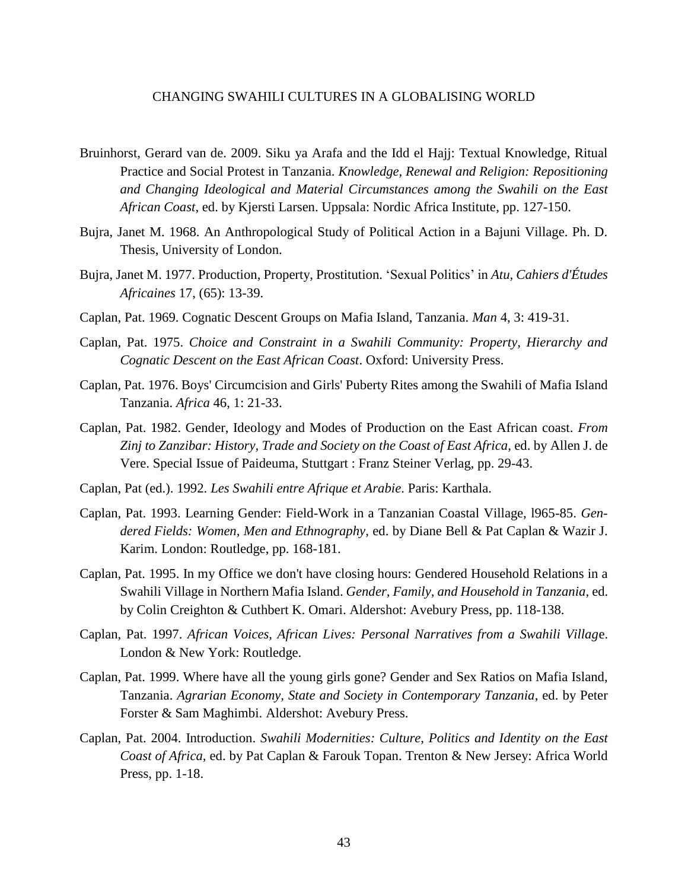- Bruinhorst, Gerard van de. 2009. Siku ya Arafa and the Idd el Hajj: Textual Knowledge, Ritual Practice and Social Protest in Tanzania. *Knowledge, Renewal and Religion: Repositioning and Changing Ideological and Material Circumstances among the Swahili on the East African Coast*, ed. by Kjersti Larsen. Uppsala: Nordic Africa Institute, pp. 127-150.
- Bujra, Janet M. 1968. An Anthropological Study of Political Action in a Bajuni Village. Ph. D. Thesis, University of London.
- Bujra, Janet M. 1977. Production, Property, Prostitution. 'Sexual Politics' in *Atu, Cahiers d'Études Africaines* 17, (65): 13-39.
- Caplan, Pat. 1969. Cognatic Descent Groups on Mafia Island, Tanzania. *Man* 4, 3: 419-31.
- Caplan, Pat. 1975. *Choice and Constraint in a Swahili Community: Property, Hierarchy and Cognatic Descent on the East African Coast*. Oxford: University Press.
- Caplan, Pat. 1976. Boys' Circumcision and Girls' Puberty Rites among the Swahili of Mafia Island Tanzania. *Africa* 46, 1: 21-33.
- Caplan, Pat. 1982. Gender, Ideology and Modes of Production on the East African coast. *From Zinj to Zanzibar: History, Trade and Society on the Coast of East Africa*, ed. by Allen J. de Vere. Special Issue of Paideuma, Stuttgart : Franz Steiner Verlag, pp. 29-43.
- Caplan, Pat (ed.). 1992. *Les Swahili entre Afrique et Arabie*. Paris: Karthala.
- Caplan, Pat. 1993. Learning Gender: Field-Work in a Tanzanian Coastal Village, l965-85. *Gendered Fields: Women, Men and Ethnography*, ed. by Diane Bell & Pat Caplan & Wazir J. Karim. London: Routledge, pp. 168-181.
- Caplan, Pat. 1995. In my Office we don't have closing hours: Gendered Household Relations in a Swahili Village in Northern Mafia Island. *Gender, Family, and Household in Tanzania*, ed. by Colin Creighton & Cuthbert K. Omari. Aldershot: Avebury Press, pp. 118-138.
- Caplan, Pat. 1997. *African Voices, African Lives: Personal Narratives from a Swahili Villag*e. London & New York: Routledge.
- Caplan, Pat. 1999. Where have all the young girls gone? Gender and Sex Ratios on Mafia Island, Tanzania. *Agrarian Economy, State and Society in Contemporary Tanzania*, ed. by Peter Forster & Sam Maghimbi. Aldershot: Avebury Press.
- Caplan, Pat. 2004. Introduction. *Swahili Modernities: Culture, Politics and Identity on the East Coast of Africa,* ed. by Pat Caplan & Farouk Topan. Trenton & New Jersey: Africa World Press, pp. 1-18.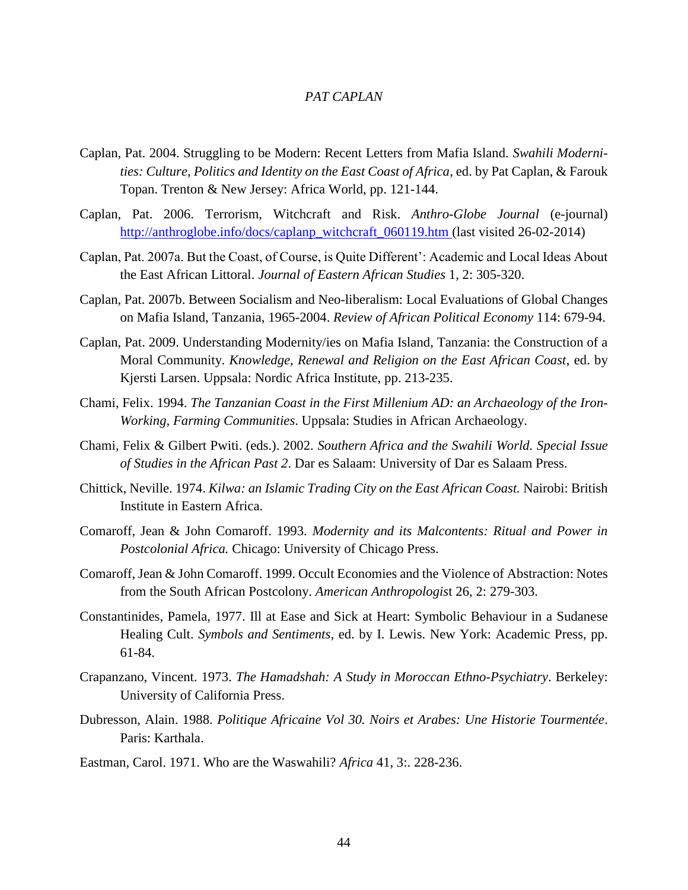- Caplan, Pat. 2004. Struggling to be Modern: Recent Letters from Mafia Island. *Swahili Modernities: Culture, Politics and Identity on the East Coast of Africa*, ed. by Pat Caplan, & Farouk Topan. Trenton & New Jersey: Africa World, pp. 121-144.
- Caplan, Pat. 2006. Terrorism, Witchcraft and Risk. *Anthro-Globe Journal* (e-journal) [http://anthroglobe.info/docs/caplanp\\_witchcraft\\_060119.htm](http://anthroglobe.info/docs/caplanp_witchcraft_060119.htm) (last visited 26-02-2014)
- Caplan, Pat. 2007a. But the Coast, of Course, is Quite Different': Academic and Local Ideas About the East African Littoral. *Journal of Eastern African Studies* 1, 2: 305-320.
- Caplan, Pat. 2007b. Between Socialism and Neo-liberalism: Local Evaluations of Global Changes on Mafia Island, Tanzania, 1965-2004. *Review of African Political Economy* 114: 679-94.
- Caplan, Pat. 2009. Understanding Modernity/ies on Mafia Island, Tanzania: the Construction of a Moral Community. *Knowledge, Renewal and Religion on the East African Coast*, ed. by Kjersti Larsen. Uppsala: Nordic Africa Institute, pp. 213-235.
- Chami, Felix. 1994. *The Tanzanian Coast in the First Millenium AD: an Archaeology of the Iron-Working, Farming Communities*. Uppsala: Studies in African Archaeology.
- Chami, Felix & Gilbert Pwiti. (eds.). 2002. *Southern Africa and the Swahili World. Special Issue of Studies in the African Past 2*. Dar es Salaam: University of Dar es Salaam Press.
- Chittick, Neville. 1974. *Kilwa: an Islamic Trading City on the East African Coast.* Nairobi: British Institute in Eastern Africa.
- Comaroff, Jean & John Comaroff. 1993. *Modernity and its Malcontents: Ritual and Power in Postcolonial Africa.* Chicago: University of Chicago Press.
- Comaroff, Jean & John Comaroff. 1999. Occult Economies and the Violence of Abstraction: Notes from the South African Postcolony. *American Anthropologis*t 26, 2: 279-303.
- Constantinides, Pamela, 1977. Ill at Ease and Sick at Heart: Symbolic Behaviour in a Sudanese Healing Cult. *Symbols and Sentiments,* ed. by I. Lewis. New York: Academic Press, pp. 61-84.
- Crapanzano, Vincent. 1973. *The Hamadshah: A Study in Moroccan Ethno-Psychiatry*. Berkeley: University of California Press.
- Dubresson, Alain. 1988. *Politique Africaine Vol 30. Noirs et Arabes: Une Historie Tourmentée*. Paris: Karthala.
- Eastman, Carol. 1971. Who are the Waswahili? *Africa* 41, 3:. 228-236.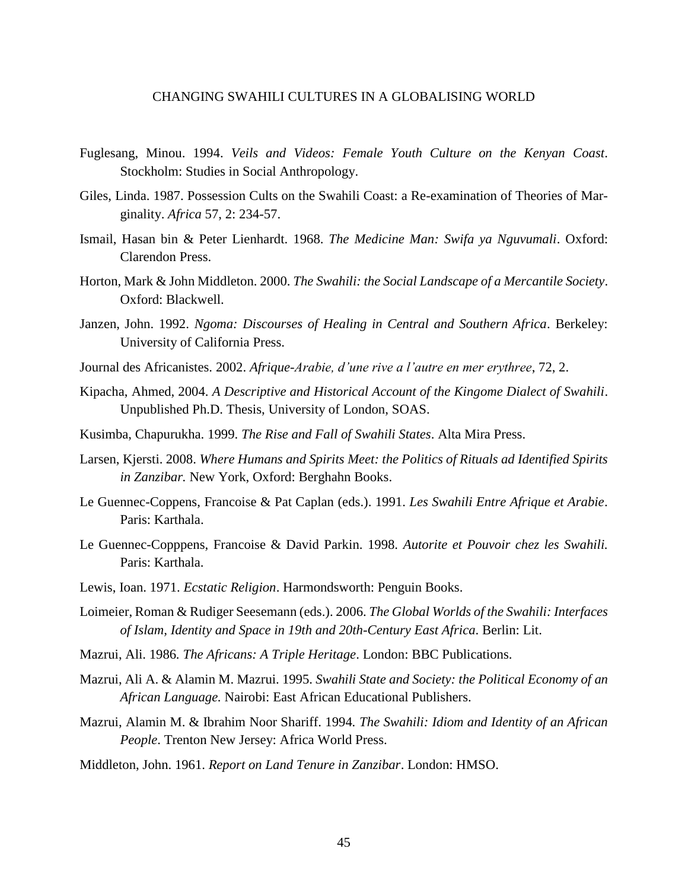- Fuglesang, Minou. 1994. *Veils and Videos: Female Youth Culture on the Kenyan Coast*. Stockholm: Studies in Social Anthropology.
- Giles, Linda. 1987. Possession Cults on the Swahili Coast: a Re-examination of Theories of Marginality. *Africa* 57, 2: 234-57.
- Ismail, Hasan bin & Peter Lienhardt. 1968. *The Medicine Man: Swifa ya Nguvumali*. Oxford: Clarendon Press.
- Horton, Mark & John Middleton. 2000. *The Swahili: the Social Landscape of a Mercantile Society*. Oxford: Blackwell.
- Janzen, John. 1992. *Ngoma: Discourses of Healing in Central and Southern Africa*. Berkeley: University of California Press.
- Journal des Africanistes. 2002. *Afrique-Arabie, d'une rive a l'autre en mer erythree*, 72, 2.
- Kipacha, Ahmed, 2004. *A Descriptive and Historical Account of the Kingome Dialect of Swahili*. Unpublished Ph.D. Thesis, University of London, SOAS.
- Kusimba, Chapurukha. 1999. *The Rise and Fall of Swahili States*. Alta Mira Press.
- Larsen, Kjersti. 2008. *Where Humans and Spirits Meet: the Politics of Rituals ad Identified Spirits in Zanzibar.* New York, Oxford: Berghahn Books.
- Le Guennec-Coppens, Francoise & Pat Caplan (eds.). 1991. *Les Swahili Entre Afrique et Arabie*. Paris: Karthala.
- Le Guennec-Copppens, Francoise & David Parkin. 1998. *Autorite et Pouvoir chez les Swahili.*  Paris: Karthala.
- Lewis, Ioan. 1971. *Ecstatic Religion*. Harmondsworth: Penguin Books.
- Loimeier, Roman & Rudiger Seesemann (eds.). 2006. *The Global Worlds of the Swahili: Interfaces of Islam, Identity and Space in 19th and 20th-Century East Africa*. Berlin: Lit.
- Mazrui, Ali. 1986*. The Africans: A Triple Heritage*. London: BBC Publications.
- Mazrui, Ali A. & Alamin M. Mazrui. 1995. *Swahili State and Society: the Political Economy of an African Language.* Nairobi: East African Educational Publishers.
- Mazrui, Alamin M. & Ibrahim Noor Shariff. 1994*. The Swahili: Idiom and Identity of an African People*. Trenton New Jersey: Africa World Press.
- Middleton, John. 1961. *Report on Land Tenure in Zanzibar*. London: HMSO.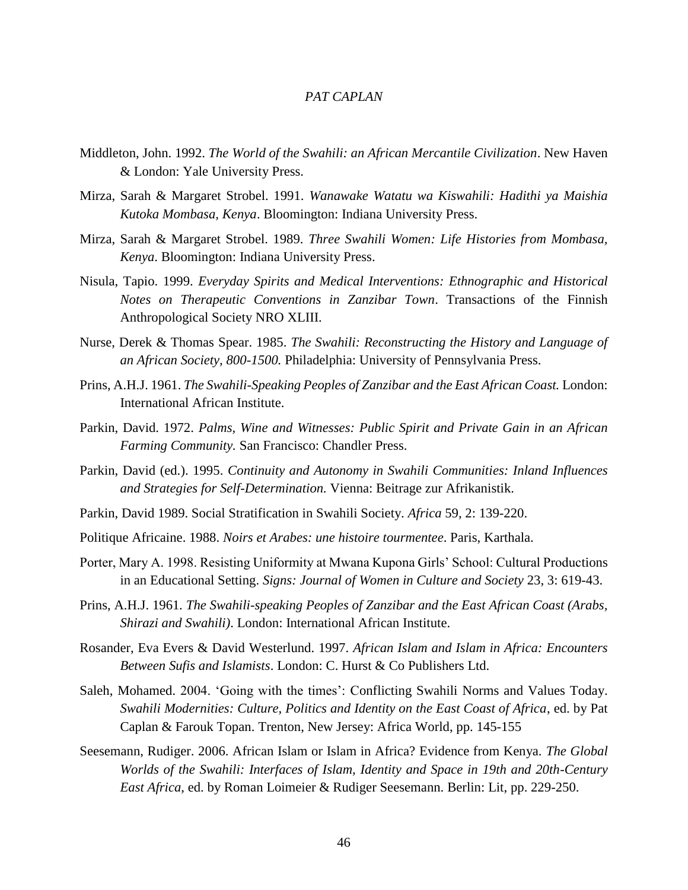- Middleton, John. 1992. *The World of the Swahili: an African Mercantile Civilization*. New Haven & London: Yale University Press.
- Mirza, Sarah & Margaret Strobel. 1991. *Wanawake Watatu wa Kiswahili: Hadithi ya Maishia Kutoka Mombasa, Kenya*. Bloomington: Indiana University Press.
- Mirza, Sarah & Margaret Strobel. 1989. *Three Swahili Women: Life Histories from Mombasa, Kenya*. Bloomington: Indiana University Press.
- Nisula, Tapio. 1999. *Everyday Spirits and Medical Interventions: Ethnographic and Historical Notes on Therapeutic Conventions in Zanzibar Town*. Transactions of the Finnish Anthropological Society NRO XLIII.
- Nurse, Derek & Thomas Spear. 1985. *The Swahili: Reconstructing the History and Language of an African Society, 800-1500.* Philadelphia: University of Pennsylvania Press.
- Prins, A.H.J. 1961. *The Swahili-Speaking Peoples of Zanzibar and the East African Coast.* London: International African Institute.
- Parkin, David. 1972. *Palms, Wine and Witnesses: Public Spirit and Private Gain in an African Farming Community.* San Francisco: Chandler Press.
- Parkin, David (ed.). 1995. *Continuity and Autonomy in Swahili Communities: Inland Influences and Strategies for Self-Determination.* Vienna: Beitrage zur Afrikanistik.
- Parkin, David 1989. Social Stratification in Swahili Society. *Africa* 59, 2: 139-220.
- Politique Africaine. 1988. *Noirs et Arabes: une histoire tourmentee*. Paris, Karthala.
- Porter, Mary A. 1998. Resisting Uniformity at Mwana Kupona Girls' School: Cultural Productions in an Educational Setting. *Signs: Journal of Women in Culture and Society* 23, 3: 619-43.
- Prins, A.H.J. 1961*. The Swahili-speaking Peoples of Zanzibar and the East African Coast (Arabs, Shirazi and Swahili)*. London: International African Institute.
- Rosander, Eva Evers & David Westerlund. 1997. *African Islam and Islam in Africa: Encounters Between Sufis and Islamists*. London: C. Hurst & Co Publishers Ltd.
- Saleh, Mohamed. 2004. 'Going with the times': Conflicting Swahili Norms and Values Today. *Swahili Modernities: Culture, Politics and Identity on the East Coast of Africa*, ed. by Pat Caplan & Farouk Topan. Trenton, New Jersey: Africa World, pp. 145-155
- Seesemann, Rudiger. 2006. African Islam or Islam in Africa? Evidence from Kenya. *The Global Worlds of the Swahili: Interfaces of Islam, Identity and Space in 19th and 20th-Century East Africa*, ed. by Roman Loimeier & Rudiger Seesemann. Berlin: Lit, pp. 229-250.